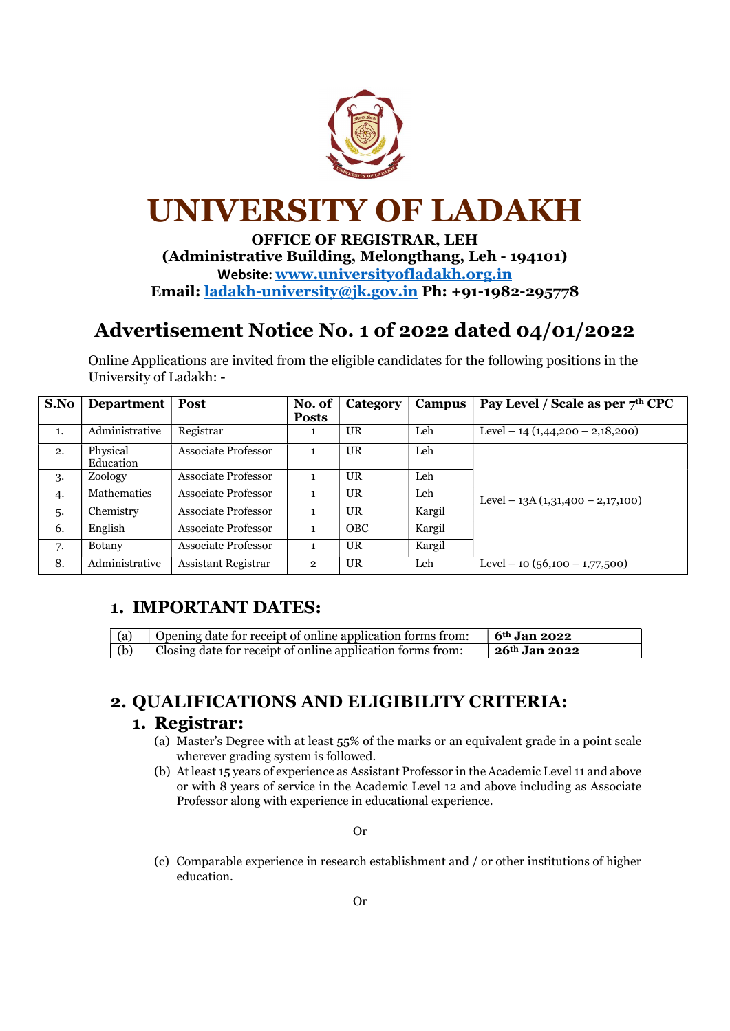

# UNIVERSITY OF LADAKH

#### OFFICE OF REGISTRAR, LEH (Administrative Building, Melongthang, Leh - 194101) Website: www.universityofladakh.org.in Email: ladakh-university@jk.gov.in Ph: +91-1982-295778

# Advertisement Notice No. 1 of 2022 dated 04/01/2022

Online Applications are invited from the eligible candidates for the following positions in the University of Ladakh: -

| S.No | Department            | <b>Post</b>                | No. of         | Category   | Campus | Pay Level / Scale as per 7th CPC   |
|------|-----------------------|----------------------------|----------------|------------|--------|------------------------------------|
|      |                       |                            | <b>Posts</b>   |            |        |                                    |
| 1.   | Administrative        | Registrar                  |                | UR         | Leh    | Level – $14(1,44,200 - 2,18,200)$  |
| 2.   | Physical<br>Education | <b>Associate Professor</b> |                | <b>UR</b>  | Leh    |                                    |
| 3.   | Zoology               | Associate Professor        |                | <b>UR</b>  | Leh    |                                    |
| 4.   | Mathematics           | Associate Professor        |                | <b>UR</b>  | Leh    | Level – $13A(1,31,400 - 2,17,100)$ |
| 5.   | Chemistry             | <b>Associate Professor</b> |                | <b>UR</b>  | Kargil |                                    |
| 6.   | English               | Associate Professor        | 1              | <b>OBC</b> | Kargil |                                    |
| 7.   | <b>Botany</b>         | <b>Associate Professor</b> |                | <b>UR</b>  | Kargil |                                    |
| 8.   | Administrative        | Assistant Registrar        | $\overline{2}$ | UR         | Leh    | Level – 10 $(56,100 - 1,77,500)$   |

## 1. IMPORTANT DATES:

| (a) | Opening date for receipt of online application forms from: | $\frac{1}{2}$ 6 <sup>th</sup> Jan 2022 |
|-----|------------------------------------------------------------|----------------------------------------|
| (b) | Closing date for receipt of online application forms from: | 26 <sup>th</sup> Jan 2022              |

## 2. QUALIFICATIONS AND ELIGIBILITY CRITERIA:

#### 1. Registrar:

- (a) Master's Degree with at least 55% of the marks or an equivalent grade in a point scale wherever grading system is followed.
- (b) At least 15 years of experience as Assistant Professor in the Academic Level 11 and above or with 8 years of service in the Academic Level 12 and above including as Associate Professor along with experience in educational experience.

Or

(c) Comparable experience in research establishment and / or other institutions of higher education.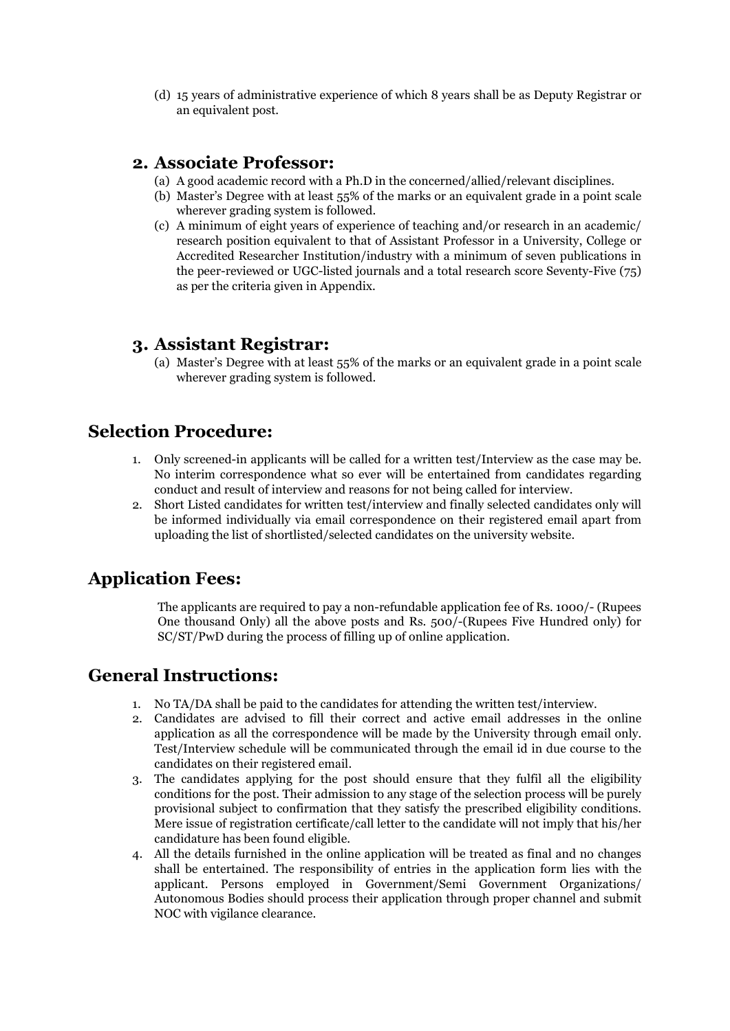(d) 15 years of administrative experience of which 8 years shall be as Deputy Registrar or an equivalent post.

## 2. Associate Professor:

- (a) A good academic record with a Ph.D in the concerned/allied/relevant disciplines.
- (b) Master's Degree with at least 55% of the marks or an equivalent grade in a point scale wherever grading system is followed.
- (c) A minimum of eight years of experience of teaching and/or research in an academic/ research position equivalent to that of Assistant Professor in a University, College or Accredited Researcher Institution/industry with a minimum of seven publications in the peer-reviewed or UGC-listed journals and a total research score Seventy-Five (75) as per the criteria given in Appendix.

## 3. Assistant Registrar:

(a) Master's Degree with at least 55% of the marks or an equivalent grade in a point scale wherever grading system is followed.

## Selection Procedure:

- 1. Only screened-in applicants will be called for a written test/Interview as the case may be. No interim correspondence what so ever will be entertained from candidates regarding conduct and result of interview and reasons for not being called for interview.
- 2. Short Listed candidates for written test/interview and finally selected candidates only will be informed individually via email correspondence on their registered email apart from uploading the list of shortlisted/selected candidates on the university website.

## Application Fees:

 The applicants are required to pay a non-refundable application fee of Rs. 1000/- (Rupees One thousand Only) all the above posts and Rs. 500/-(Rupees Five Hundred only) for SC/ST/PwD during the process of filling up of online application.

## General Instructions:

- 1. No TA/DA shall be paid to the candidates for attending the written test/interview.
- 2. Candidates are advised to fill their correct and active email addresses in the online application as all the correspondence will be made by the University through email only. Test/Interview schedule will be communicated through the email id in due course to the candidates on their registered email.
- 3. The candidates applying for the post should ensure that they fulfil all the eligibility conditions for the post. Their admission to any stage of the selection process will be purely provisional subject to confirmation that they satisfy the prescribed eligibility conditions. Mere issue of registration certificate/call letter to the candidate will not imply that his/her candidature has been found eligible.
- 4. All the details furnished in the online application will be treated as final and no changes shall be entertained. The responsibility of entries in the application form lies with the applicant. Persons employed in Government/Semi Government Organizations/ Autonomous Bodies should process their application through proper channel and submit NOC with vigilance clearance.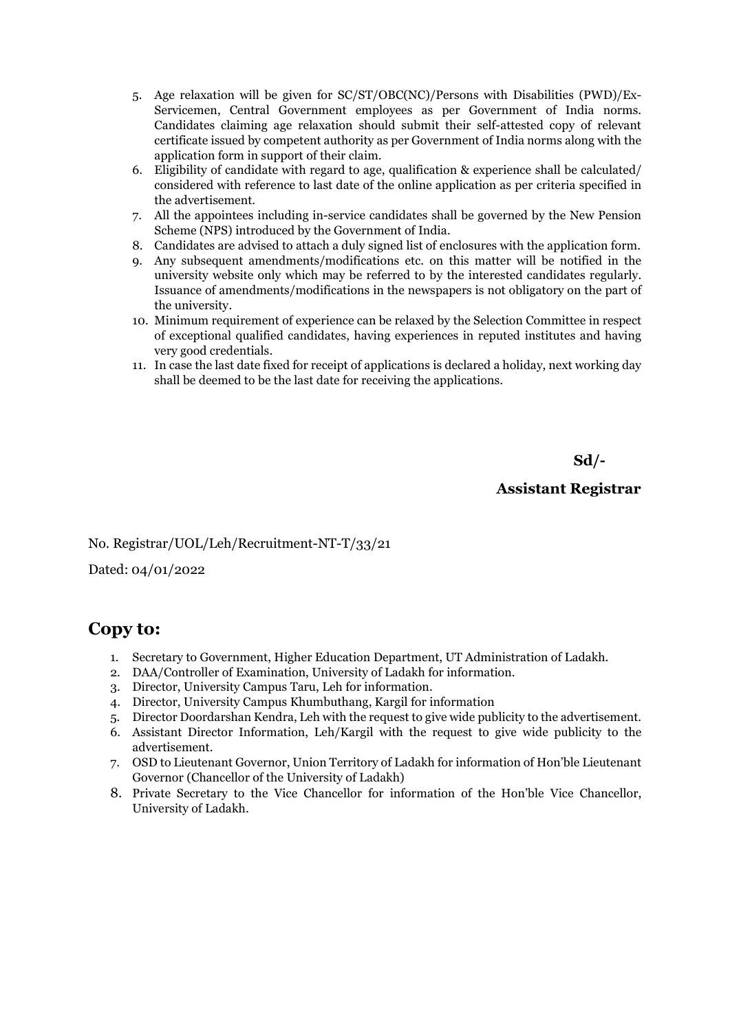- 5. Age relaxation will be given for SC/ST/OBC(NC)/Persons with Disabilities (PWD)/Ex-Servicemen, Central Government employees as per Government of India norms. Candidates claiming age relaxation should submit their self-attested copy of relevant certificate issued by competent authority as per Government of India norms along with the application form in support of their claim.
- 6. Eligibility of candidate with regard to age, qualification & experience shall be calculated/ considered with reference to last date of the online application as per criteria specified in the advertisement.
- 7. All the appointees including in-service candidates shall be governed by the New Pension Scheme (NPS) introduced by the Government of India.
- 8. Candidates are advised to attach a duly signed list of enclosures with the application form.
- 9. Any subsequent amendments/modifications etc. on this matter will be notified in the university website only which may be referred to by the interested candidates regularly. Issuance of amendments/modifications in the newspapers is not obligatory on the part of the university.
- 10. Minimum requirement of experience can be relaxed by the Selection Committee in respect of exceptional qualified candidates, having experiences in reputed institutes and having very good credentials.
- 11. In case the last date fixed for receipt of applications is declared a holiday, next working day shall be deemed to be the last date for receiving the applications.

 $Sd/-$ 

#### Assistant Registrar

No. Registrar/UOL/Leh/Recruitment-NT-T/33/21

Dated: 04/01/2022

#### Copy to:

- 1. Secretary to Government, Higher Education Department, UT Administration of Ladakh.
- 2. DAA/Controller of Examination, University of Ladakh for information.
- 3. Director, University Campus Taru, Leh for information.
- 4. Director, University Campus Khumbuthang, Kargil for information
- 5. Director Doordarshan Kendra, Leh with the request to give wide publicity to the advertisement.
- 6. Assistant Director Information, Leh/Kargil with the request to give wide publicity to the advertisement.
- 7. OSD to Lieutenant Governor, Union Territory of Ladakh for information of Hon'ble Lieutenant Governor (Chancellor of the University of Ladakh)
- 8. Private Secretary to the Vice Chancellor for information of the Hon'ble Vice Chancellor, University of Ladakh.